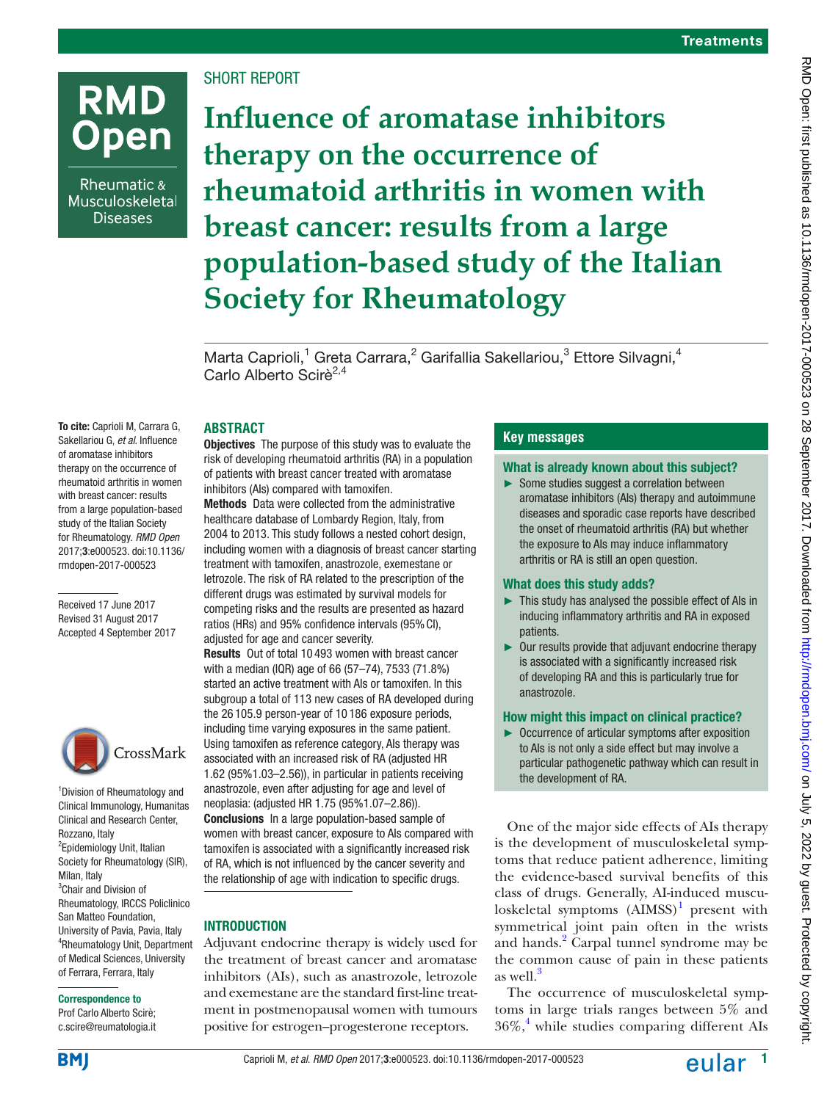# **RMD** Open

Rheumatic & Musculoskeletal **Diseases** 

# SHORT REPORT

**Influence of aromatase inhibitors therapy on the occurrence of rheumatoid arthritis in women with breast cancer: results from a large population-based study of the Italian Society for Rheumatology**

Marta Caprioli,<sup>1</sup> Greta Carrara,<sup>2</sup> Garifallia Sakellariou,<sup>3</sup> Ettore Silvagni,<sup>4</sup> Carlo Alberto Scirè<sup>2,4</sup>

# **Abstract**

To cite: Caprioli M, Carrara G, Sakellariou G, *et al*. Influence of aromatase inhibitors therapy on the occurrence of rheumatoid arthritis in women with breast cancer: results from a large population-based study of the Italian Society for Rheumatology. *RMD Open* 2017;3:e000523. doi:10.1136/ rmdopen-2017-000523

Received 17 June 2017 Revised 31 August 2017 Accepted 4 September 2017



1 Division of Rheumatology and Clinical Immunology, Humanitas Clinical and Research Center, Rozzano, Italy <sup>2</sup> Epidemiology Unit, Italian Society for Rheumatology (SIR), Milan, Italy <sup>3</sup>Chair and Division of Rheumatology, IRCCS Policlinico San Matteo Foundation, University of Pavia, Pavia, Italy 4 Rheumatology Unit, Department of Medical Sciences, University of Ferrara, Ferrara, Italy

#### Correspondence to

Prof Carlo Alberto Scirè; c.scire@reumatologia.it

**Objectives** The purpose of this study was to evaluate the risk of developing rheumatoid arthritis (RA) in a population of patients with breast cancer treated with aromatase inhibitors (AIs) compared with tamoxifen.

Methods Data were collected from the administrative healthcare database of Lombardy Region, Italy, from 2004 to 2013. This study follows a nested cohort design, including women with a diagnosis of breast cancer starting treatment with tamoxifen, anastrozole, exemestane or letrozole. The risk of RA related to the prescription of the different drugs was estimated by survival models for competing risks and the results are presented as hazard ratios (HRs) and 95% confidence intervals (95%CI), adjusted for age and cancer severity.

Results Out of total 10 493 women with breast cancer with a median (IQR) age of 66 (57–74), 7533 (71.8%) started an active treatment with AIs or tamoxifen. In this subgroup a total of 113 new cases of RA developed during the 26 105.9 person-year of 10 186 exposure periods, including time varying exposures in the same patient. Using tamoxifen as reference category, AIs therapy was associated with an increased risk of RA (adjusted HR 1.62 (95%1.03–2.56)), in particular in patients receiving anastrozole, even after adjusting for age and level of neoplasia: (adjusted HR 1.75 (95%1.07–2.86)).

Conclusions In a large population-based sample of women with breast cancer, exposure to AIs compared with tamoxifen is associated with a significantly increased risk of RA, which is not influenced by the cancer severity and the relationship of age with indication to specific drugs.

# **INTRODUCTION**

Adjuvant endocrine therapy is widely used for the treatment of breast cancer and aromatase inhibitors (AIs), such as anastrozole, letrozole and exemestane are the standard first-line treatment in postmenopausal women with tumours positive for estrogen–progesterone receptors.

# **Key messages**

### What is already known about this subject?

► Some studies suggest a correlation between aromatase inhibitors (AIs) therapy and autoimmune diseases and sporadic case reports have described the onset of rheumatoid arthritis (RA) but whether the exposure to AIs may induce inflammatory arthritis or RA is still an open question.

### What does this study adds?

- ► This study has analysed the possible effect of AIs in inducing inflammatory arthritis and RA in exposed patients.
- ► Our results provide that adjuvant endocrine therapy is associated with a significantly increased risk of developing RA and this is particularly true for anastrozole.

# How might this impact on clinical practice?

► Occurrence of articular symptoms after exposition to AIs is not only a side effect but may involve a particular pathogenetic pathway which can result in the development of RA.

One of the major side effects of AIs therapy is the development of musculoskeletal symptoms that reduce patient adherence, limiting the evidence-based survival benefits of this class of drugs. Generally, AI-induced muscu $loskeletal$  symptoms  $(AIMSS)^1$  $(AIMSS)^1$  present with symmetrical joint pain often in the wrists and hands.<sup>[2](#page-3-1)</sup> Carpal tunnel syndrome may be the common cause of pain in these patients as well.[3](#page-4-0)

The occurrence of musculoskeletal symptoms in large trials ranges between 5% and 36%[,4](#page-4-1) while studies comparing different AIs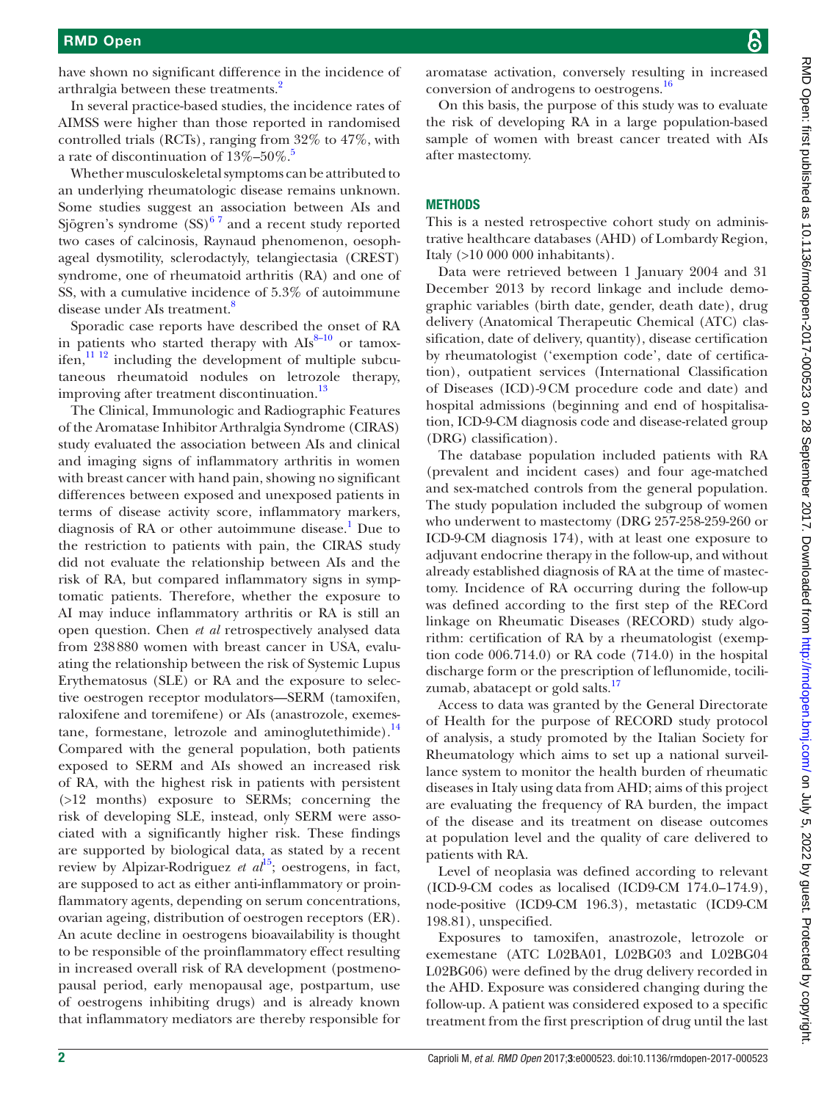have shown no significant difference in the incidence of arthralgia between these treatments.<sup>2</sup>

In several practice-based studies, the incidence rates of AIMSS were higher than those reported in randomised controlled trials (RCTs), ranging from 32% to 47%, with a rate of discontinuation of  $13\% - 50\%$ .

Whether musculoskeletal symptoms can be attributed to an underlying rheumatologic disease remains unknown. Some studies suggest an association between AIs and Sjögren's syndrome  $(SS)^{67}$  and a recent study reported two cases of calcinosis, Raynaud phenomenon, oesophageal dysmotility, sclerodactyly, telangiectasia (CREST) syndrome, one of rheumatoid arthritis (RA) and one of SS, with a cumulative incidence of 5.3% of autoimmune disease under AIs treatment.<sup>8</sup>

Sporadic case reports have described the onset of RA in patients who started therapy with  $\text{AIs}^{8-10}$  or tamoxifen, $\frac{11 \text{ } 12}{2}$  including the development of multiple subcutaneous rheumatoid nodules on letrozole therapy, improving after treatment discontinuation.<sup>[13](#page-4-6)</sup>

The Clinical, Immunologic and Radiographic Features of the Aromatase Inhibitor Arthralgia Syndrome (CIRAS) study evaluated the association between AIs and clinical and imaging signs of inflammatory arthritis in women with breast cancer with hand pain, showing no significant differences between exposed and unexposed patients in terms of disease activity score, inflammatory markers, diagnosis of RA or other autoimmune disease.<sup>1</sup> Due to the restriction to patients with pain, the CIRAS study did not evaluate the relationship between AIs and the risk of RA, but compared inflammatory signs in symptomatic patients. Therefore, whether the exposure to AI may induce inflammatory arthritis or RA is still an open question. Chen *et al* retrospectively analysed data from 238880 women with breast cancer in USA, evaluating the relationship between the risk of Systemic Lupus Erythematosus (SLE) or RA and the exposure to selective oestrogen receptor modulators—SERM (tamoxifen, raloxifene and toremifene) or AIs (anastrozole, exemestane, formestane, letrozole and aminoglutethimide). $^{14}$  $^{14}$  $^{14}$ Compared with the general population, both patients exposed to SERM and AIs showed an increased risk of RA, with the highest risk in patients with persistent (>12 months) exposure to SERMs; concerning the risk of developing SLE, instead, only SERM were associated with a significantly higher risk. These findings are supported by biological data, as stated by a recent review by Alpizar-Rodriguez *et al*<sup>15</sup>; oestrogens, in fact, are supposed to act as either anti-inflammatory or proinflammatory agents, depending on serum concentrations, ovarian ageing, distribution of oestrogen receptors (ER). An acute decline in oestrogens bioavailability is thought to be responsible of the proinflammatory effect resulting in increased overall risk of RA development (postmenopausal period, early menopausal age, postpartum, use of oestrogens inhibiting drugs) and is already known that inflammatory mediators are thereby responsible for

aromatase activation, conversely resulting in increased conversion of androgens to oestrogens.<sup>[16](#page-4-9)</sup>

On this basis, the purpose of this study was to evaluate the risk of developing RA in a large population-based sample of women with breast cancer treated with AIs after mastectomy.

# **METHODS**

This is a nested retrospective cohort study on administrative healthcare databases (AHD) of Lombardy Region, Italy (>10 000 000 inhabitants).

Data were retrieved between 1 January 2004 and 31 December 2013 by record linkage and include demographic variables (birth date, gender, death date), drug delivery (Anatomical Therapeutic Chemical (ATC) classification, date of delivery, quantity), disease certification by rheumatologist ('exemption code', date of certification), outpatient services (International Classification of Diseases (ICD)-9CM procedure code and date) and hospital admissions (beginning and end of hospitalisation, ICD-9-CM diagnosis code and disease-related group (DRG) classification).

The database population included patients with RA (prevalent and incident cases) and four age-matched and sex-matched controls from the general population. The study population included the subgroup of women who underwent to mastectomy (DRG 257-258-259-260 or ICD-9-CM diagnosis 174), with at least one exposure to adjuvant endocrine therapy in the follow-up, and without already established diagnosis of RA at the time of mastectomy. Incidence of RA occurring during the follow-up was defined according to the first step of the RECord linkage on Rheumatic Diseases (RECORD) study algorithm: certification of RA by a rheumatologist (exemption code 006.714.0) or RA code (714.0) in the hospital discharge form or the prescription of leflunomide, tocilizumab, abatacept or gold salts.<sup>17</sup>

Access to data was granted by the General Directorate of Health for the purpose of RECORD study protocol of analysis, a study promoted by the Italian Society for Rheumatology which aims to set up a national surveillance system to monitor the health burden of rheumatic diseases in Italy using data from AHD; aims of this project are evaluating the frequency of RA burden, the impact of the disease and its treatment on disease outcomes at population level and the quality of care delivered to patients with RA.

Level of neoplasia was defined according to relevant (ICD-9-CM codes as localised (ICD9-CM 174.0–174.9), node-positive (ICD9-CM 196.3), metastatic (ICD9-CM 198.81), unspecified.

Exposures to tamoxifen, anastrozole, letrozole or exemestane (ATC L02BA01, L02BG03 and L02BG04 L02BG06) were defined by the drug delivery recorded in the AHD. Exposure was considered changing during the follow-up. A patient was considered exposed to a specific treatment from the first prescription of drug until the last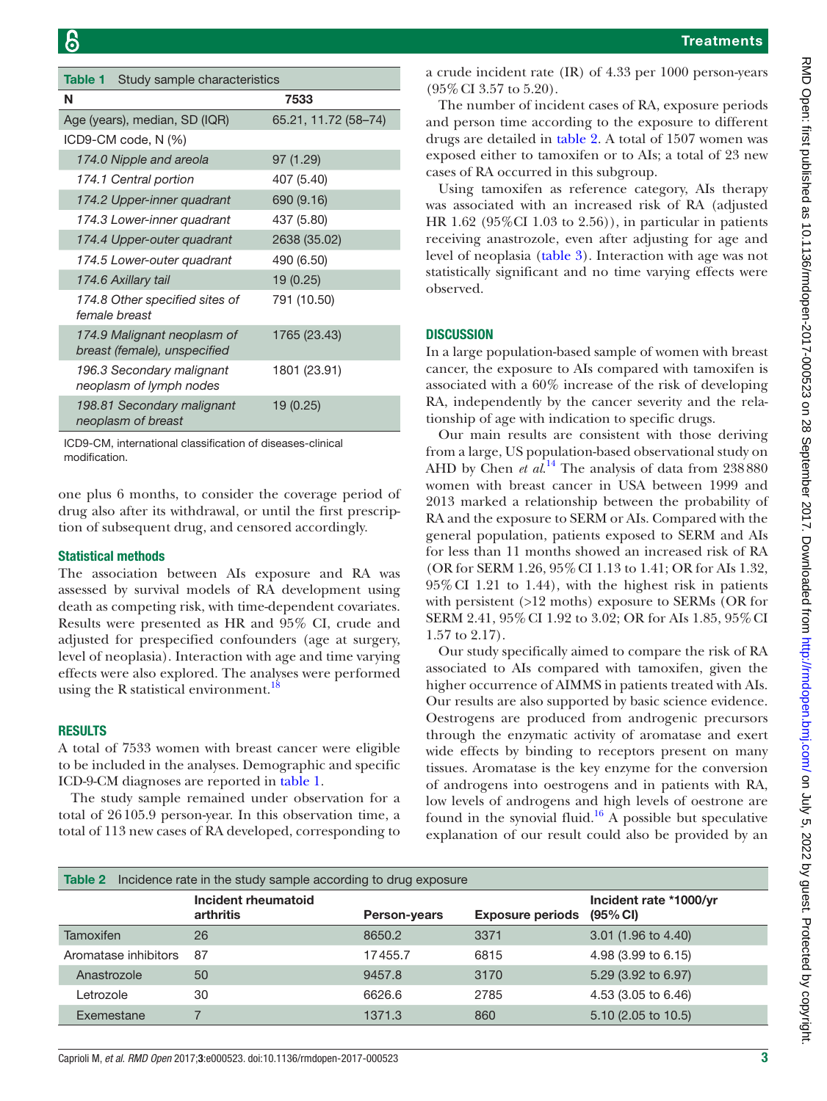<span id="page-2-0"></span>

| Table 1<br>Study sample characteristics                     |                      |  |  |  |
|-------------------------------------------------------------|----------------------|--|--|--|
| N                                                           | 7533                 |  |  |  |
| Age (years), median, SD (IQR)                               | 65.21, 11.72 (58–74) |  |  |  |
| ICD9-CM code, N (%)                                         |                      |  |  |  |
| 174.0 Nipple and areola                                     | 97 (1.29)            |  |  |  |
| 174.1 Central portion                                       | 407 (5.40)           |  |  |  |
| 174.2 Upper-inner quadrant                                  | 690 (9.16)           |  |  |  |
| 174.3 Lower-inner quadrant                                  | 437 (5.80)           |  |  |  |
| 174.4 Upper-outer quadrant                                  | 2638 (35.02)         |  |  |  |
| 174.5 Lower-outer quadrant                                  | 490 (6.50)           |  |  |  |
| 174.6 Axillary tail                                         | 19 (0.25)            |  |  |  |
| 174.8 Other specified sites of<br>female breast             | 791 (10.50)          |  |  |  |
| 174.9 Malignant neoplasm of<br>breast (female), unspecified | 1765 (23.43)         |  |  |  |
| 196.3 Secondary malignant<br>neoplasm of lymph nodes        | 1801 (23.91)         |  |  |  |
| 198.81 Secondary malignant<br>neoplasm of breast            | 19 (0.25)            |  |  |  |

ICD9-CM, international classification of diseases-clinical modification.

one plus 6 months, to consider the coverage period of drug also after its withdrawal, or until the first prescription of subsequent drug, and censored accordingly.

#### Statistical methods

The association between AIs exposure and RA was assessed by survival models of RA development using death as competing risk, with time-dependent covariates. Results were presented as HR and 95% CI, crude and adjusted for prespecified confounders (age at surgery, level of neoplasia). Interaction with age and time varying effects were also explored. The analyses were performed using the R statistical environment.<sup>18</sup>

#### **RESULTS**

A total of 7533 women with breast cancer were eligible to be included in the analyses. Demographic and specific ICD-9-CM diagnoses are reported in [table](#page-2-0) 1.

The study sample remained under observation for a total of 26105.9 person-year. In this observation time, a total of 113 new cases of RA developed, corresponding to

a crude incident rate (IR) of 4.33 per 1000 person-years (95%CI 3.57 to 5.20).

The number of incident cases of RA, exposure periods and person time according to the exposure to different drugs are detailed in [table](#page-2-1) 2. A total of 1507 women was exposed either to tamoxifen or to AIs; a total of 23 new cases of RA occurred in this subgroup.

Using tamoxifen as reference category, AIs therapy was associated with an increased risk of RA (adjusted HR 1.62 (95%CI 1.03 to 2.56)), in particular in patients receiving anastrozole, even after adjusting for age and level of neoplasia [\(table](#page-3-2) 3). Interaction with age was not statistically significant and no time varying effects were observed.

#### **DISCUSSION**

In a large population-based sample of women with breast cancer, the exposure to AIs compared with tamoxifen is associated with a 60% increase of the risk of developing RA, independently by the cancer severity and the relationship of age with indication to specific drugs.

Our main results are consistent with those deriving from a large, US population-based observational study on AHD by Chen *et al.*<sup>[14](#page-4-7)</sup> The analysis of data from 238880 women with breast cancer in USA between 1999 and 2013 marked a relationship between the probability of RA and the exposure to SERM or AIs. Compared with the general population, patients exposed to SERM and AIs for less than 11 months showed an increased risk of RA (OR for SERM 1.26, 95%CI 1.13 to 1.41; OR for AIs 1.32, 95%CI 1.21 to 1.44), with the highest risk in patients with persistent (>12 moths) exposure to SERMs (OR for SERM 2.41, 95%CI 1.92 to 3.02; OR for AIs 1.85, 95%CI 1.57 to 2.17).

Our study specifically aimed to compare the risk of RA associated to AIs compared with tamoxifen, given the higher occurrence of AIMMS in patients treated with AIs. Our results are also supported by basic science evidence. Oestrogens are produced from androgenic precursors through the enzymatic activity of aromatase and exert wide effects by binding to receptors present on many tissues. Aromatase is the key enzyme for the conversion of androgens into oestrogens and in patients with RA, low levels of androgens and high levels of oestrone are found in the synovial fluid.<sup>16</sup> A possible but speculative explanation of our result could also be provided by an

<span id="page-2-1"></span>

| Incidence rate in the study sample according to drug exposure<br>Table 2 |                                  |                     |                         |                                    |  |  |
|--------------------------------------------------------------------------|----------------------------------|---------------------|-------------------------|------------------------------------|--|--|
|                                                                          | Incident rheumatoid<br>arthritis | <b>Person-years</b> | <b>Exposure periods</b> | Incident rate *1000/yr<br>(95% CI) |  |  |
| Tamoxifen                                                                | 26                               | 8650.2              | 3371                    | 3.01 (1.96 to 4.40)                |  |  |
| Aromatase inhibitors                                                     | -87                              | 17455.7             | 6815                    | 4.98 (3.99 to 6.15)                |  |  |
| Anastrozole                                                              | 50                               | 9457.8              | 3170                    | 5.29 (3.92 to 6.97)                |  |  |
| Letrozole                                                                | 30                               | 6626.6              | 2785                    | 4.53 (3.05 to 6.46)                |  |  |
| Exemestane                                                               |                                  | 1371.3              | 860                     | $5.10$ (2.05 to 10.5)              |  |  |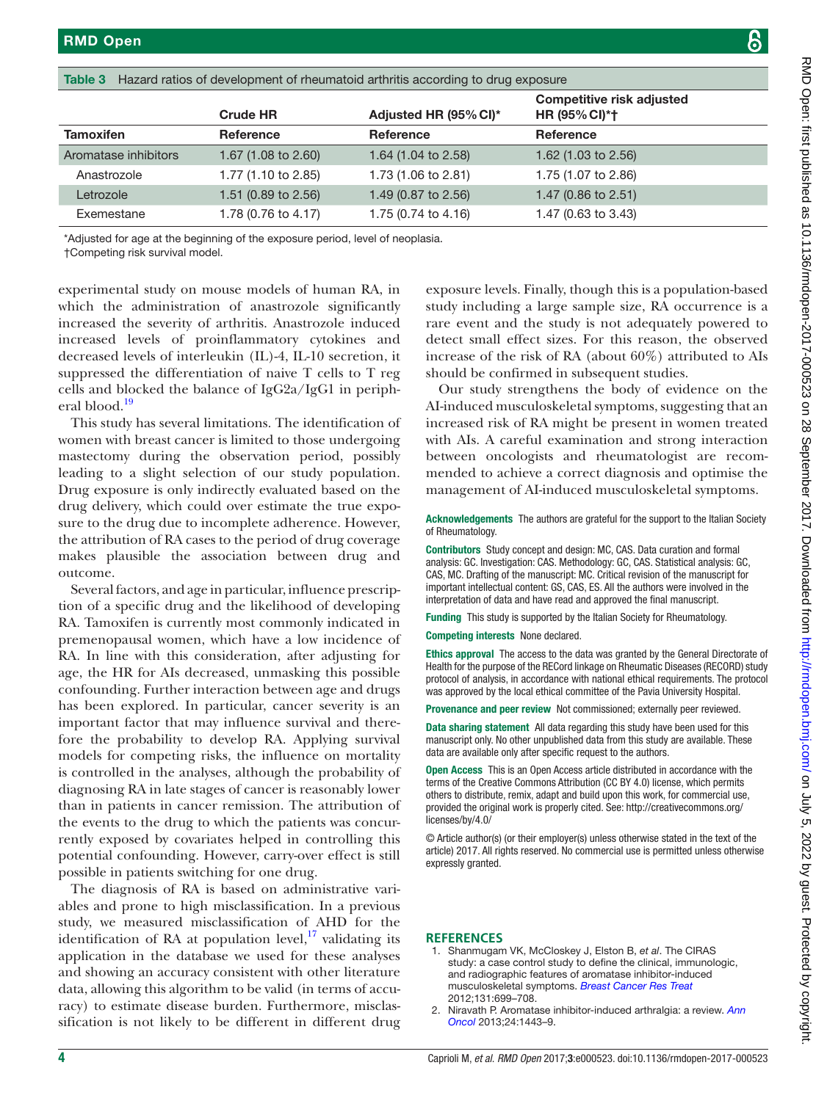|                      | <b>Crude HR</b>     | Adjusted HR (95% CI)* | <b>Competitive risk adjusted</b><br>HR (95% CI)*† |  |
|----------------------|---------------------|-----------------------|---------------------------------------------------|--|
| <b>Tamoxifen</b>     | Reference           | Reference             | Reference                                         |  |
| Aromatase inhibitors | 1.67 (1.08 to 2.60) | 1.64 (1.04 to 2.58)   | 1.62 (1.03 to 2.56)                               |  |
| Anastrozole          | 1.77 (1.10 to 2.85) | 1.73 (1.06 to 2.81)   | 1.75 (1.07 to 2.86)                               |  |
| Letrozole            | 1.51 (0.89 to 2.56) | 1.49 (0.87 to 2.56)   | 1.47 (0.86 to 2.51)                               |  |
| Exemestane           | 1.78 (0.76 to 4.17) | 1.75 (0.74 to 4.16)   | 1.47 (0.63 to 3.43)                               |  |
|                      |                     |                       |                                                   |  |

<span id="page-3-2"></span>Table 3 Hazard ratios of development of rheumatoid arthritis according to drug exposure

\*Adjusted for age at the beginning of the exposure period, level of neoplasia.

†Competing risk survival model.

experimental study on mouse models of human RA, in which the administration of anastrozole significantly increased the severity of arthritis. Anastrozole induced increased levels of proinflammatory cytokines and decreased levels of interleukin (IL)-4, IL-10 secretion, it suppressed the differentiation of naive T cells to T reg cells and blocked the balance of IgG2a/IgG1 in peripheral blood.<sup>19</sup>

This study has several limitations. The identification of women with breast cancer is limited to those undergoing mastectomy during the observation period, possibly leading to a slight selection of our study population. Drug exposure is only indirectly evaluated based on the drug delivery, which could over estimate the true exposure to the drug due to incomplete adherence. However, the attribution of RA cases to the period of drug coverage makes plausible the association between drug and outcome.

Several factors, and age in particular, influence prescription of a specific drug and the likelihood of developing RA. Tamoxifen is currently most commonly indicated in premenopausal women, which have a low incidence of RA. In line with this consideration, after adjusting for age, the HR for AIs decreased, unmasking this possible confounding. Further interaction between age and drugs has been explored. In particular, cancer severity is an important factor that may influence survival and therefore the probability to develop RA. Applying survival models for competing risks, the influence on mortality is controlled in the analyses, although the probability of diagnosing RA in late stages of cancer is reasonably lower than in patients in cancer remission. The attribution of the events to the drug to which the patients was concurrently exposed by covariates helped in controlling this potential confounding. However, carry-over effect is still possible in patients switching for one drug.

The diagnosis of RA is based on administrative variables and prone to high misclassification. In a previous study, we measured misclassification of AHD for the identification of RA at population level, $^{17}$  $^{17}$  $^{17}$  validating its application in the database we used for these analyses and showing an accuracy consistent with other literature data, allowing this algorithm to be valid (in terms of accuracy) to estimate disease burden. Furthermore, misclassification is not likely to be different in different drug

exposure levels. Finally, though this is a population-based study including a large sample size, RA occurrence is a rare event and the study is not adequately powered to detect small effect sizes. For this reason, the observed increase of the risk of RA (about 60%) attributed to AIs should be confirmed in subsequent studies.

Our study strengthens the body of evidence on the AI-induced musculoskeletal symptoms, suggesting that an increased risk of RA might be present in women treated with AIs. A careful examination and strong interaction between oncologists and rheumatologist are recommended to achieve a correct diagnosis and optimise the management of AI-induced musculoskeletal symptoms.

Acknowledgements The authors are grateful for the support to the Italian Society of Rheumatology.

Contributors Study concept and design: MC, CAS. Data curation and formal analysis: GC. Investigation: CAS. Methodology: GC, CAS. Statistical analysis: GC, CAS, MC. Drafting of the manuscript: MC. Critical revision of the manuscript for important intellectual content: GS, CAS, ES. All the authors were involved in the interpretation of data and have read and approved the final manuscript.

Funding This study is supported by the Italian Society for Rheumatology.

Competing interests None declared.

Ethics approval The access to the data was granted by the General Directorate of Health for the purpose of the RECord linkage on Rheumatic Diseases (RECORD) study protocol of analysis, in accordance with national ethical requirements. The protocol was approved by the local ethical committee of the Pavia University Hospital.

Provenance and peer review Not commissioned; externally peer reviewed.

Data sharing statement All data regarding this study have been used for this manuscript only. No other unpublished data from this study are available. These data are available only after specific request to the authors.

Open Access This is an Open Access article distributed in accordance with the terms of the Creative Commons Attribution (CC BY 4.0) license, which permits others to distribute, remix, adapt and build upon this work, for commercial use, provided the original work is properly cited. See: [http://creativecommons.org/](http://creativecommons.org/licenses/by/4.0/) [licenses/by/4.0/](http://creativecommons.org/licenses/by/4.0/)

© Article author(s) (or their employer(s) unless otherwise stated in the text of the article) 2017. All rights reserved. No commercial use is permitted unless otherwise expressly granted.

#### **References**

- <span id="page-3-0"></span>1. Shanmugam VK, McCloskey J, Elston B, *et al*. The CIRAS study: a case control study to define the clinical, immunologic, and radiographic features of aromatase inhibitor-induced musculoskeletal symptoms. *[Breast Cancer Res Treat](http://dx.doi.org/10.1007/s10549-011-1849-8)* 2012;131:699–708.
- <span id="page-3-1"></span>2. Niravath P. Aromatase inhibitor-induced arthralgia: a review. *[Ann](http://dx.doi.org/10.1093/annonc/mdt037)  [Oncol](http://dx.doi.org/10.1093/annonc/mdt037)* 2013;24:1443–9.